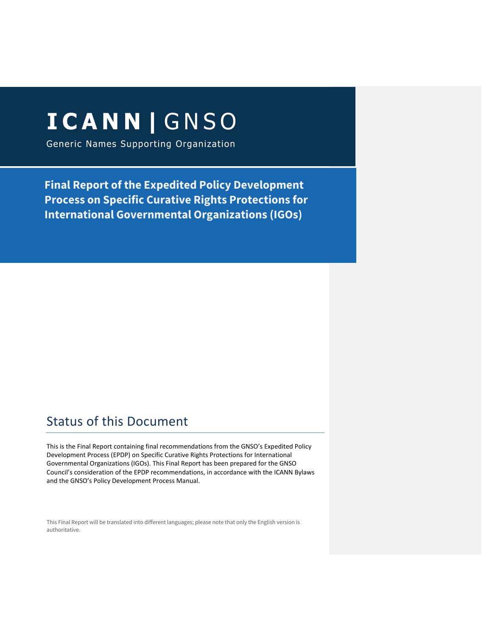# **ICANN | GNSO**

Generic Names Supporting Organization

**Final Report of the Expedited Policy Development Process on Specific Curative Rights Protections for International Governmental Organizations (IGOs)**

# Status of this Document

This is the Final Report containing final recommendations from the GNSO's Expedited Policy Development Process (EPDP) on Specific Curative Rights Protections for International Governmental Organizations (IGOs). This Final Report has been prepared for the GNSO Council's consideration of the EPDP recommendations, in accordance with the ICANN Bylaws and the GNSO's Policy Development Process Manual.

This Final Report will be translated into different languages; please note that only the English version is authoritative.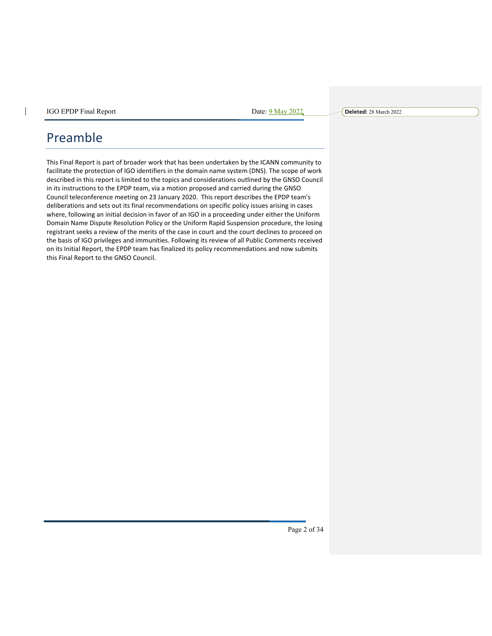# Preamble

 $\overline{\phantom{a}}$ 

This Final Report is part of broader work that has been undertaken by the ICANN community to facilitate the protection of IGO identifiers in the domain name system (DNS). The scope of work described in this report is limited to the topics and considerations outlined by the GNSO Council in its instructions to the EPDP team, via a motion proposed and carried during the GNSO Council teleconference meeting on 23 January 2020. This report describes the EPDP team's deliberations and sets out its final recommendations on specific policy issues arising in cases where, following an initial decision in favor of an IGO in a proceeding under either the Uniform Domain Name Dispute Resolution Policy or the Uniform Rapid Suspension procedure, the losing registrant seeks a review of the merits of the case in court and the court declines to proceed on the basis of IGO privileges and immunities. Following its review of all Public Comments received on its Initial Report, the EPDP team has finalized its policy recommendations and now submits this Final Report to the GNSO Council.

Page 2 of 34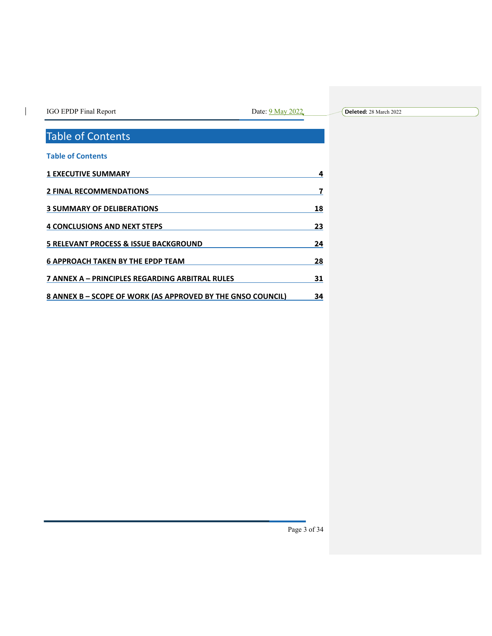| IGO EPDP Final Report |
|-----------------------|
|-----------------------|

 $\mathbf{l}$ 

Date: 9 May 2022

**Deleted:** 28 March 2022

# Table of Contents

| <b>Table of Contents</b>                                    |    |
|-------------------------------------------------------------|----|
| <b>1 EXECUTIVE SUMMARY</b>                                  |    |
| <b>2 FINAL RECOMMENDATIONS</b>                              |    |
| <b>3 SUMMARY OF DELIBERATIONS</b>                           | 18 |
| <b>4 CONCLUSIONS AND NEXT STEPS</b>                         | 23 |
| 5 RELEVANT PROCESS & ISSUE BACKGROUND                       | 24 |
| <b>6 APPROACH TAKEN BY THE EPDP TEAM</b>                    | 28 |
| 7 ANNEX A – PRINCIPLES REGARDING ARBITRAL RULES             | 31 |
| 8 ANNEX B - SCOPE OF WORK (AS APPROVED BY THE GNSO COUNCIL) | 34 |
|                                                             |    |

Page 3 of 34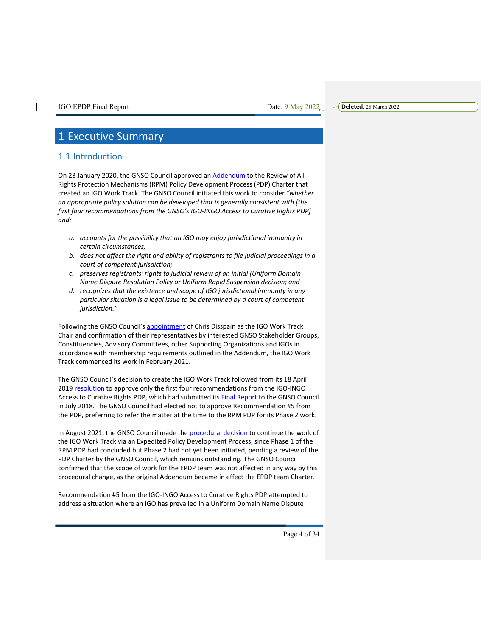# 1 Executive Summary

# 1.1 Introduction

On 23 January 2020, the GNSO Council approved an Addendum to the Review of All Rights Protection Mechanisms (RPM) Policy Development Process (PDP) Charter that created an IGO Work Track. The GNSO Council initiated this work to consider *"whether an appropriate policy solution can be developed that is generally consistent with [the first four recommendations from the GNSO's IGO-INGO Access to Curative Rights PDP] and:*

- *a. accounts for the possibility that an IGO may enjoy jurisdictional immunity in certain circumstances;*
- *b. does not affect the right and ability of registrants to file judicial proceedings in a court of competent jurisdiction;*
- *c. preserves registrants' rights to judicial review of an initial [Uniform Domain Name Dispute Resolution Policy or Uniform Rapid Suspension decision; and*
- *d. recognizes that the existence and scope of IGO jurisdictional immunity in any particular situation is a legal issue to be determined by a court of competent jurisdiction."*

Following the GNSO Council's appointment of Chris Disspain as the IGO Work Track Chair and confirmation of their representatives by interested GNSO Stakeholder Groups, Constituencies, Advisory Committees, other Supporting Organizations and IGOs in accordance with membership requirements outlined in the Addendum, the IGO Work Track commenced its work in February 2021.

The GNSO Council's decision to create the IGO Work Track followed from its 18 April 2019 resolution to approve only the first four recommendations from the IGO-INGO Access to Curative Rights PDP, which had submitted its **Final Report** to the GNSO Council in July 2018. The GNSO Council had elected not to approve Recommendation #5 from the PDP, preferring to refer the matter at the time to the RPM PDP for its Phase 2 work.

In August 2021, the GNSO Council made the procedural decision to continue the work of the IGO Work Track via an Expedited Policy Development Process, since Phase 1 of the RPM PDP had concluded but Phase 2 had not yet been initiated, pending a review of the PDP Charter by the GNSO Council, which remains outstanding. The GNSO Council confirmed that the scope of work for the EPDP team was not affected in any way by this procedural change, as the original Addendum became in effect the EPDP team Charter.

Recommendation #5 from the IGO-INGO Access to Curative Rights PDP attempted to address a situation where an IGO has prevailed in a Uniform Domain Name Dispute

**Deleted:** 28 March 2022

Page 4 of 34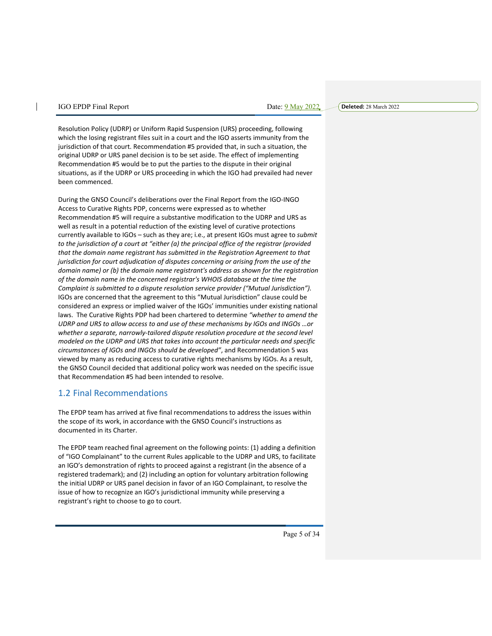**Deleted:** 28 March 2022

Resolution Policy (UDRP) or Uniform Rapid Suspension (URS) proceeding, following which the losing registrant files suit in a court and the IGO asserts immunity from the jurisdiction of that court. Recommendation #5 provided that, in such a situation, the original UDRP or URS panel decision is to be set aside. The effect of implementing Recommendation #5 would be to put the parties to the dispute in their original situations, as if the UDRP or URS proceeding in which the IGO had prevailed had never been commenced.

During the GNSO Council's deliberations over the Final Report from the IGO-INGO Access to Curative Rights PDP, concerns were expressed as to whether Recommendation #5 will require a substantive modification to the UDRP and URS as well as result in a potential reduction of the existing level of curative protections currently available to IGOs – such as they are; i.e., at present IGOs must agree to *submit to the jurisdiction of a court at "either (a) the principal office of the registrar (provided that the domain name registrant has submitted in the Registration Agreement to that jurisdiction for court adjudication of disputes concerning or arising from the use of the domain name) or (b) the domain name registrant's address as shown for the registration of the domain name in the concerned registrar's WHOIS database at the time the Complaint is submitted to a dispute resolution service provider ("Mutual Jurisdiction").*  IGOs are concerned that the agreement to this "Mutual Jurisdiction" clause could be considered an express or implied waiver of the IGOs' immunities under existing national laws. The Curative Rights PDP had been chartered to determine *"whether to amend the UDRP and URS to allow access to and use of these mechanisms by IGOs and INGOs …or whether a separate, narrowly-tailored dispute resolution procedure at the second level modeled on the UDRP and URS that takes into account the particular needs and specific circumstances of IGOs and INGOs should be developed"*, and Recommendation 5 was viewed by many as reducing access to curative rights mechanisms by IGOs. As a result, the GNSO Council decided that additional policy work was needed on the specific issue that Recommendation #5 had been intended to resolve.

# 1.2 Final Recommendations

The EPDP team has arrived at five final recommendations to address the issues within the scope of its work, in accordance with the GNSO Council's instructions as documented in its Charter.

The EPDP team reached final agreement on the following points: (1) adding a definition of "IGO Complainant" to the current Rules applicable to the UDRP and URS, to facilitate an IGO's demonstration of rights to proceed against a registrant (in the absence of a registered trademark); and (2) including an option for voluntary arbitration following the initial UDRP or URS panel decision in favor of an IGO Complainant, to resolve the issue of how to recognize an IGO's jurisdictional immunity while preserving a registrant's right to choose to go to court.

Page 5 of 34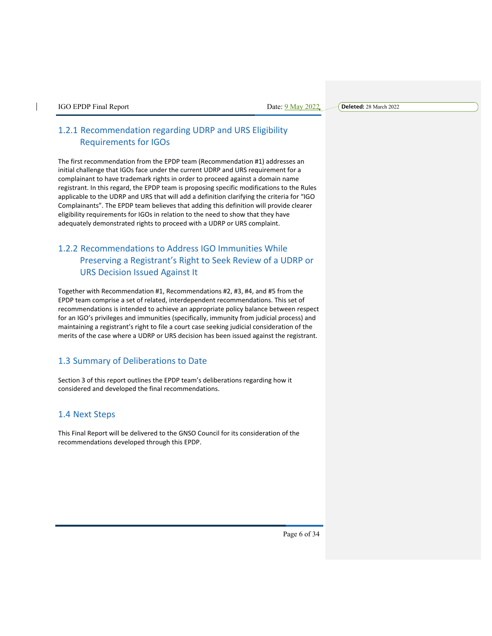**Deleted:** 28 March 2022

# 1.2.1 Recommendation regarding UDRP and URS Eligibility Requirements for IGOs

The first recommendation from the EPDP team (Recommendation #1) addresses an initial challenge that IGOs face under the current UDRP and URS requirement for a complainant to have trademark rights in order to proceed against a domain name registrant. In this regard, the EPDP team is proposing specific modifications to the Rules applicable to the UDRP and URS that will add a definition clarifying the criteria for "IGO Complainants". The EPDP team believes that adding this definition will provide clearer eligibility requirements for IGOs in relation to the need to show that they have adequately demonstrated rights to proceed with a UDRP or URS complaint.

# 1.2.2 Recommendations to Address IGO Immunities While Preserving a Registrant's Right to Seek Review of a UDRP or URS Decision Issued Against It

Together with Recommendation #1, Recommendations #2, #3, #4, and #5 from the EPDP team comprise a set of related, interdependent recommendations. This set of recommendations is intended to achieve an appropriate policy balance between respect for an IGO's privileges and immunities (specifically, immunity from judicial process) and maintaining a registrant's right to file a court case seeking judicial consideration of the merits of the case where a UDRP or URS decision has been issued against the registrant.

# 1.3 Summary of Deliberations to Date

Section 3 of this report outlines the EPDP team's deliberations regarding how it considered and developed the final recommendations.

# 1.4 Next Steps

This Final Report will be delivered to the GNSO Council for its consideration of the recommendations developed through this EPDP.

Page 6 of 34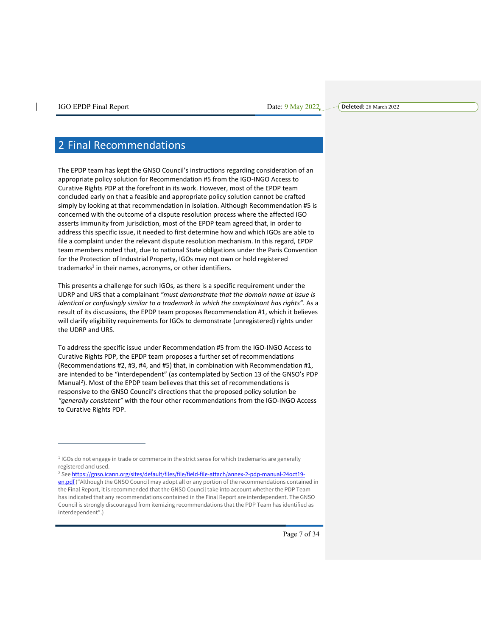# 2 Final Recommendations

The EPDP team has kept the GNSO Council's instructions regarding consideration of an appropriate policy solution for Recommendation #5 from the IGO-INGO Access to Curative Rights PDP at the forefront in its work. However, most of the EPDP team concluded early on that a feasible and appropriate policy solution cannot be crafted simply by looking at that recommendation in isolation. Although Recommendation #5 is concerned with the outcome of a dispute resolution process where the affected IGO asserts immunity from jurisdiction, most of the EPDP team agreed that, in order to address this specific issue, it needed to first determine how and which IGOs are able to file a complaint under the relevant dispute resolution mechanism. In this regard, EPDP team members noted that, due to national State obligations under the Paris Convention for the Protection of Industrial Property, IGOs may not own or hold registered  $trademarks<sup>1</sup>$  in their names, acronyms, or other identifiers.

This presents a challenge for such IGOs, as there is a specific requirement under the UDRP and URS that a complainant *"must demonstrate that the domain name at issue is identical or confusingly similar to a trademark in which the complainant has rights"*. As a result of its discussions, the EPDP team proposes Recommendation #1, which it believes will clarify eligibility requirements for IGOs to demonstrate (unregistered) rights under the UDRP and URS.

To address the specific issue under Recommendation #5 from the IGO-INGO Access to Curative Rights PDP, the EPDP team proposes a further set of recommendations (Recommendations #2, #3, #4, and #5) that, in combination with Recommendation #1, are intended to be "interdependent" (as contemplated by Section 13 of the GNSO's PDP Manual<sup>2</sup>). Most of the EPDP team believes that this set of recommendations is responsive to the GNSO Council's directions that the proposed policy solution be *"generally consistent"* with the four other recommendations from the IGO-INGO Access to Curative Rights PDP.

<sup>2</sup> See https://gnso.icann.org/sites/default/files/file/field-file-attach/annex-2-pdp-manual-24oct19 en.pdf ("Although the GNSO Council may adopt all or any portion of the recommendations contained in the Final Report, it is recommended that the GNSO Council take into account whether the PDP Team has indicated that any recommendations contained in the Final Report are interdependent. The GNSO Council is strongly discouraged from itemizing recommendations that the PDP Team has identified as interdependent".)

<sup>1</sup> IGOs do not engage in trade or commerce in the strict sense for which trademarks are generally registered and used.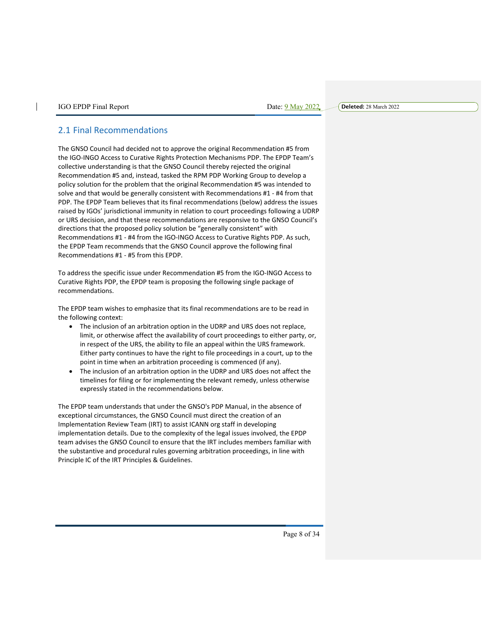**Deleted:** 28 March 2022

## 2.1 Final Recommendations

The GNSO Council had decided not to approve the original Recommendation #5 from the IGO-INGO Access to Curative Rights Protection Mechanisms PDP. The EPDP Team's collective understanding is that the GNSO Council thereby rejected the original Recommendation #5 and, instead, tasked the RPM PDP Working Group to develop a policy solution for the problem that the original Recommendation #5 was intended to solve and that would be generally consistent with Recommendations #1 - #4 from that PDP. The EPDP Team believes that its final recommendations (below) address the issues raised by IGOs' jurisdictional immunity in relation to court proceedings following a UDRP or URS decision, and that these recommendations are responsive to the GNSO Council's directions that the proposed policy solution be "generally consistent" with Recommendations #1 - #4 from the IGO-INGO Access to Curative Rights PDP. As such, the EPDP Team recommends that the GNSO Council approve the following final Recommendations #1 - #5 from this EPDP.

To address the specific issue under Recommendation #5 from the IGO-INGO Access to Curative Rights PDP, the EPDP team is proposing the following single package of recommendations.

The EPDP team wishes to emphasize that its final recommendations are to be read in the following context:

- The inclusion of an arbitration option in the UDRP and URS does not replace, limit, or otherwise affect the availability of court proceedings to either party, or, in respect of the URS, the ability to file an appeal within the URS framework. Either party continues to have the right to file proceedings in a court, up to the point in time when an arbitration proceeding is commenced (if any).
- The inclusion of an arbitration option in the UDRP and URS does not affect the timelines for filing or for implementing the relevant remedy, unless otherwise expressly stated in the recommendations below.

The EPDP team understands that under the GNSO's PDP Manual, in the absence of exceptional circumstances, the GNSO Council must direct the creation of an Implementation Review Team (IRT) to assist ICANN org staff in developing implementation details. Due to the complexity of the legal issues involved, the EPDP team advises the GNSO Council to ensure that the IRT includes members familiar with the substantive and procedural rules governing arbitration proceedings, in line with Principle IC of the IRT Principles & Guidelines.

Page 8 of 34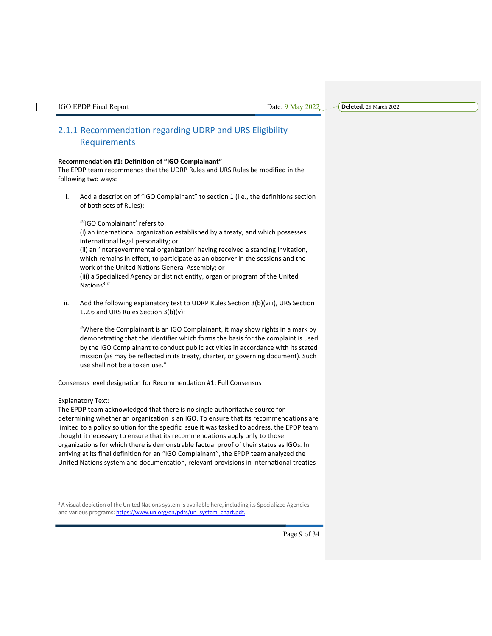**Deleted:** 28 March 2022

# 2.1.1 Recommendation regarding UDRP and URS Eligibility Requirements

#### **Recommendation #1: Definition of "IGO Complainant"**

The EPDP team recommends that the UDRP Rules and URS Rules be modified in the following two ways:

i. Add a description of "IGO Complainant" to section 1 (i.e., the definitions section of both sets of Rules):

"'IGO Complainant' refers to:

(i) an international organization established by a treaty, and which possesses international legal personality; or (ii) an 'Intergovernmental organization' having received a standing invitation,

which remains in effect, to participate as an observer in the sessions and the work of the United Nations General Assembly; or (iii) a Specialized Agency or distinct entity, organ or program of the United Nations<sup>3</sup>."

ii. Add the following explanatory text to UDRP Rules Section 3(b)(viii), URS Section 1.2.6 and URS Rules Section 3(b)(v):

"Where the Complainant is an IGO Complainant, it may show rights in a mark by demonstrating that the identifier which forms the basis for the complaint is used by the IGO Complainant to conduct public activities in accordance with its stated mission (as may be reflected in its treaty, charter, or governing document). Such use shall not be a token use."

Consensus level designation for Recommendation #1: Full Consensus

#### Explanatory Text:

The EPDP team acknowledged that there is no single authoritative source for determining whether an organization is an IGO. To ensure that its recommendations are limited to a policy solution for the specific issue it was tasked to address, the EPDP team thought it necessary to ensure that its recommendations apply only to those organizations for which there is demonstrable factual proof of their status as IGOs. In arriving at its final definition for an "IGO Complainant", the EPDP team analyzed the United Nations system and documentation, relevant provisions in international treaties

<sup>&</sup>lt;sup>3</sup> A visual depiction of the United Nations system is available here, including its Specialized Agencies and various programs: https://www.un.org/en/pdfs/un\_system\_chart.pdf.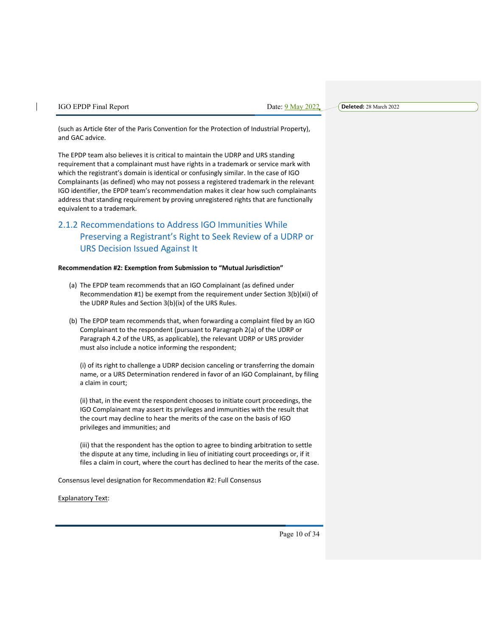(such as Article 6ter of the Paris Convention for the Protection of Industrial Property), and GAC advice.

The EPDP team also believes it is critical to maintain the UDRP and URS standing requirement that a complainant must have rights in a trademark or service mark with which the registrant's domain is identical or confusingly similar. In the case of IGO Complainants (as defined) who may not possess a registered trademark in the relevant IGO identifier, the EPDP team's recommendation makes it clear how such complainants address that standing requirement by proving unregistered rights that are functionally equivalent to a trademark.

# 2.1.2 Recommendations to Address IGO Immunities While Preserving a Registrant's Right to Seek Review of a UDRP or URS Decision Issued Against It

#### **Recommendation #2: Exemption from Submission to "Mutual Jurisdiction"**

- (a) The EPDP team recommends that an IGO Complainant (as defined under Recommendation #1) be exempt from the requirement under Section 3(b)(xii) of the UDRP Rules and Section 3(b)(ix) of the URS Rules.
- (b) The EPDP team recommends that, when forwarding a complaint filed by an IGO Complainant to the respondent (pursuant to Paragraph 2(a) of the UDRP or Paragraph 4.2 of the URS, as applicable), the relevant UDRP or URS provider must also include a notice informing the respondent;

(i) of its right to challenge a UDRP decision canceling or transferring the domain name, or a URS Determination rendered in favor of an IGO Complainant, by filing a claim in court;

(ii) that, in the event the respondent chooses to initiate court proceedings, the IGO Complainant may assert its privileges and immunities with the result that the court may decline to hear the merits of the case on the basis of IGO privileges and immunities; and

(iii) that the respondent has the option to agree to binding arbitration to settle the dispute at any time, including in lieu of initiating court proceedings or, if it files a claim in court, where the court has declined to hear the merits of the case.

Consensus level designation for Recommendation #2: Full Consensus

Explanatory Text:

Page 10 of 34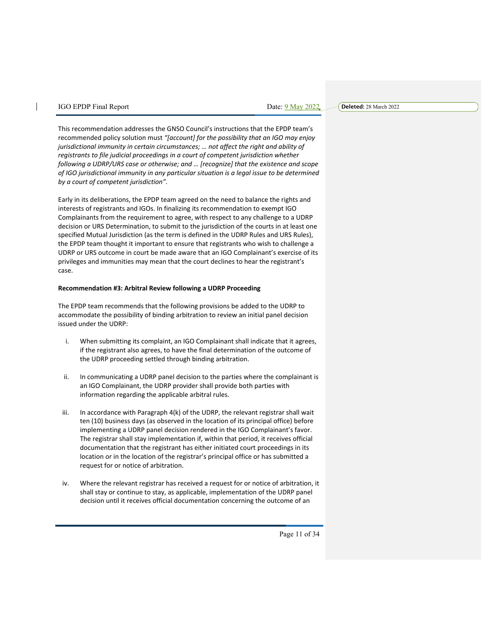**Deleted:** 28 March 2022

This recommendation addresses the GNSO Council's instructions that the EPDP team's recommended policy solution must *"[account] for the possibility that an IGO may enjoy jurisdictional immunity in certain circumstances; … not affect the right and ability of registrants to file judicial proceedings in a court of competent jurisdiction whether following a UDRP/URS case or otherwise; and … [recognize] that the existence and scope of IGO jurisdictional immunity in any particular situation is a legal issue to be determined by a court of competent jurisdiction"*.

Early in its deliberations, the EPDP team agreed on the need to balance the rights and interests of registrants and IGOs. In finalizing its recommendation to exempt IGO Complainants from the requirement to agree, with respect to any challenge to a UDRP decision or URS Determination, to submit to the jurisdiction of the courts in at least one specified Mutual Jurisdiction (as the term is defined in the UDRP Rules and URS Rules), the EPDP team thought it important to ensure that registrants who wish to challenge a UDRP or URS outcome in court be made aware that an IGO Complainant's exercise of its privileges and immunities may mean that the court declines to hear the registrant's case.

#### **Recommendation #3: Arbitral Review following a UDRP Proceeding**

The EPDP team recommends that the following provisions be added to the UDRP to accommodate the possibility of binding arbitration to review an initial panel decision issued under the UDRP:

- i. When submitting its complaint, an IGO Complainant shall indicate that it agrees, if the registrant also agrees, to have the final determination of the outcome of the UDRP proceeding settled through binding arbitration.
- ii. In communicating a UDRP panel decision to the parties where the complainant is an IGO Complainant, the UDRP provider shall provide both parties with information regarding the applicable arbitral rules.
- iii. In accordance with Paragraph 4(k) of the UDRP, the relevant registrar shall wait ten (10) business days (as observed in the location of its principal office) before implementing a UDRP panel decision rendered in the IGO Complainant's favor. The registrar shall stay implementation if, within that period, it receives official documentation that the registrant has either initiated court proceedings in its location or in the location of the registrar's principal office or has submitted a request for or notice of arbitration.
- iv. Where the relevant registrar has received a request for or notice of arbitration, it shall stay or continue to stay, as applicable, implementation of the UDRP panel decision until it receives official documentation concerning the outcome of an

Page 11 of 34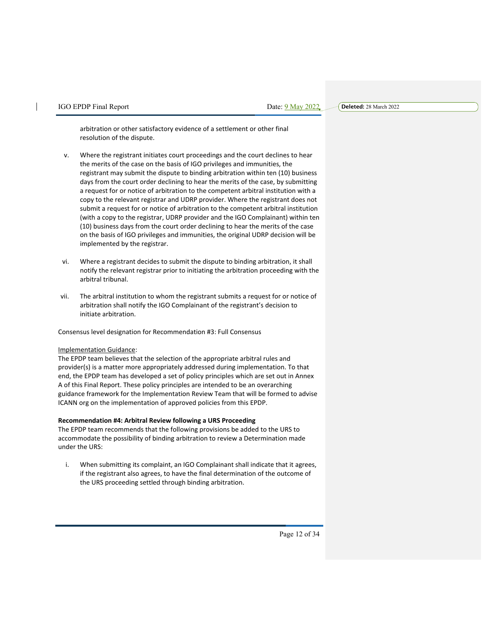arbitration or other satisfactory evidence of a settlement or other final resolution of the dispute.

- v. Where the registrant initiates court proceedings and the court declines to hear the merits of the case on the basis of IGO privileges and immunities, the registrant may submit the dispute to binding arbitration within ten (10) business days from the court order declining to hear the merits of the case, by submitting a request for or notice of arbitration to the competent arbitral institution with a copy to the relevant registrar and UDRP provider. Where the registrant does not submit a request for or notice of arbitration to the competent arbitral institution (with a copy to the registrar, UDRP provider and the IGO Complainant) within ten (10) business days from the court order declining to hear the merits of the case on the basis of IGO privileges and immunities, the original UDRP decision will be implemented by the registrar.
- vi. Where a registrant decides to submit the dispute to binding arbitration, it shall notify the relevant registrar prior to initiating the arbitration proceeding with the arbitral tribunal.
- vii. The arbitral institution to whom the registrant submits a request for or notice of arbitration shall notify the IGO Complainant of the registrant's decision to initiate arbitration.

Consensus level designation for Recommendation #3: Full Consensus

#### Implementation Guidance:

The EPDP team believes that the selection of the appropriate arbitral rules and provider(s) is a matter more appropriately addressed during implementation. To that end, the EPDP team has developed a set of policy principles which are set out in Annex A of this Final Report. These policy principles are intended to be an overarching guidance framework for the Implementation Review Team that will be formed to advise ICANN org on the implementation of approved policies from this EPDP.

#### **Recommendation #4: Arbitral Review following a URS Proceeding**

The EPDP team recommends that the following provisions be added to the URS to accommodate the possibility of binding arbitration to review a Determination made under the URS:

i. When submitting its complaint, an IGO Complainant shall indicate that it agrees, if the registrant also agrees, to have the final determination of the outcome of the URS proceeding settled through binding arbitration.

Page 12 of 34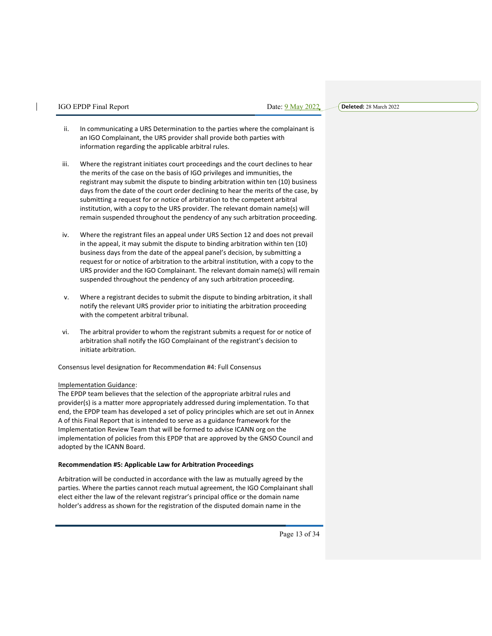Date: 9 May 2022

**Deleted:** 28 March 2022

- ii. In communicating a URS Determination to the parties where the complainant is an IGO Complainant, the URS provider shall provide both parties with information regarding the applicable arbitral rules.
- iii. Where the registrant initiates court proceedings and the court declines to hear the merits of the case on the basis of IGO privileges and immunities, the registrant may submit the dispute to binding arbitration within ten (10) business days from the date of the court order declining to hear the merits of the case, by submitting a request for or notice of arbitration to the competent arbitral institution, with a copy to the URS provider. The relevant domain name(s) will remain suspended throughout the pendency of any such arbitration proceeding.
- iv. Where the registrant files an appeal under URS Section 12 and does not prevail in the appeal, it may submit the dispute to binding arbitration within ten (10) business days from the date of the appeal panel's decision, by submitting a request for or notice of arbitration to the arbitral institution, with a copy to the URS provider and the IGO Complainant. The relevant domain name(s) will remain suspended throughout the pendency of any such arbitration proceeding.
- v. Where a registrant decides to submit the dispute to binding arbitration, it shall notify the relevant URS provider prior to initiating the arbitration proceeding with the competent arbitral tribunal.
- vi. The arbitral provider to whom the registrant submits a request for or notice of arbitration shall notify the IGO Complainant of the registrant's decision to initiate arbitration.

Consensus level designation for Recommendation #4: Full Consensus

#### Implementation Guidance:

The EPDP team believes that the selection of the appropriate arbitral rules and provider(s) is a matter more appropriately addressed during implementation. To that end, the EPDP team has developed a set of policy principles which are set out in Annex A of this Final Report that is intended to serve as a guidance framework for the Implementation Review Team that will be formed to advise ICANN org on the implementation of policies from this EPDP that are approved by the GNSO Council and adopted by the ICANN Board.

#### **Recommendation #5: Applicable Law for Arbitration Proceedings**

Arbitration will be conducted in accordance with the law as mutually agreed by the parties. Where the parties cannot reach mutual agreement, the IGO Complainant shall elect either the law of the relevant registrar's principal office or the domain name holder's address as shown for the registration of the disputed domain name in the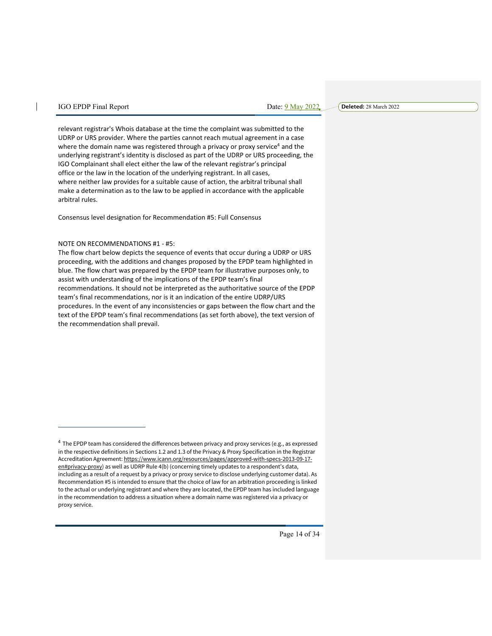**Deleted:** 28 March 2022

relevant registrar's Whois database at the time the complaint was submitted to the UDRP or URS provider. Where the parties cannot reach mutual agreement in a case where the domain name was registered through a privacy or proxy service<sup>4</sup> and the underlying registrant's identity is disclosed as part of the UDRP or URS proceeding, the IGO Complainant shall elect either the law of the relevant registrar's principal office or the law in the location of the underlying registrant. In all cases, where neither law provides for a suitable cause of action, the arbitral tribunal shall make a determination as to the law to be applied in accordance with the applicable arbitral rules.

Consensus level designation for Recommendation #5: Full Consensus

#### NOTE ON RECOMMENDATIONS #1 - #5:

The flow chart below depicts the sequence of events that occur during a UDRP or URS proceeding, with the additions and changes proposed by the EPDP team highlighted in blue. The flow chart was prepared by the EPDP team for illustrative purposes only, to assist with understanding of the implications of the EPDP team's final recommendations. It should not be interpreted as the authoritative source of the EPDP team's final recommendations, nor is it an indication of the entire UDRP/URS procedures. In the event of any inconsistencies or gaps between the flow chart and the text of the EPDP team's final recommendations (as set forth above), the text version of the recommendation shall prevail.

<sup>4</sup> The EPDP team has considered the differences between privacy and proxy services (e.g., as expressed in the respective definitions in Sections 1.2 and 1.3 of the Privacy & Proxy Specification in the Registrar Accreditation Agreement: https://www.icann.org/resources/pages/approved-with-specs-2013-09-17 en#privacy-proxy) as well as UDRP Rule 4(b) (concerning timely updates to a respondent's data, including as a result of a request by a privacy or proxy service to disclose underlying customer data). As Recommendation #5 is intended to ensure that the choice of law for an arbitration proceeding is linked to the actual or underlying registrant and where they are located, the EPDP team has included language in the recommendation to address a situation where a domain name was registered via a privacy or proxy service.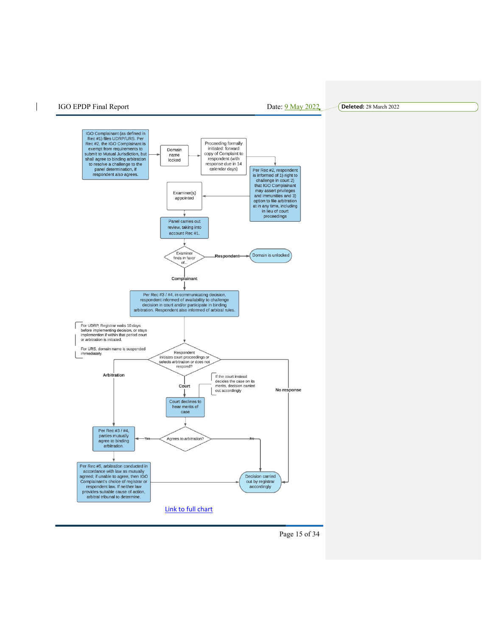$\overline{\phantom{a}}$ 

**Deleted:** 28 March 2022

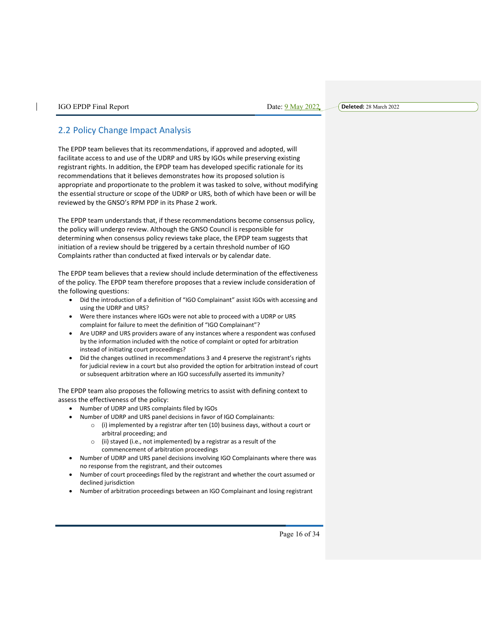| IGO EPDP Final Repo |  |  |
|---------------------|--|--|
|---------------------|--|--|

# 2.2 Policy Change Impact Analysis

The EPDP team believes that its recommendations, if approved and adopted, will facilitate access to and use of the UDRP and URS by IGOs while preserving existing registrant rights. In addition, the EPDP team has developed specific rationale for its recommendations that it believes demonstrates how its proposed solution is appropriate and proportionate to the problem it was tasked to solve, without modifying the essential structure or scope of the UDRP or URS, both of which have been or will be reviewed by the GNSO's RPM PDP in its Phase 2 work.

The EPDP team understands that, if these recommendations become consensus policy, the policy will undergo review. Although the GNSO Council is responsible for determining when consensus policy reviews take place, the EPDP team suggests that initiation of a review should be triggered by a certain threshold number of IGO Complaints rather than conducted at fixed intervals or by calendar date.

The EPDP team believes that a review should include determination of the effectiveness of the policy. The EPDP team therefore proposes that a review include consideration of the following questions:

- Did the introduction of a definition of "IGO Complainant" assist IGOs with accessing and using the UDRP and URS?
- Were there instances where IGOs were not able to proceed with a UDRP or URS complaint for failure to meet the definition of "IGO Complainant"?
- Are UDRP and URS providers aware of any instances where a respondent was confused by the information included with the notice of complaint or opted for arbitration instead of initiating court proceedings?
- Did the changes outlined in recommendations 3 and 4 preserve the registrant's rights for judicial review in a court but also provided the option for arbitration instead of court or subsequent arbitration where an IGO successfully asserted its immunity?

The EPDP team also proposes the following metrics to assist with defining context to assess the effectiveness of the policy:

- Number of UDRP and URS complaints filed by IGOs
- Number of UDRP and URS panel decisions in favor of IGO Complainants:
	- $\circ$  (i) implemented by a registrar after ten (10) business days, without a court or arbitral proceeding; and
	- o (ii) stayed (i.e., not implemented) by a registrar as a result of the commencement of arbitration proceedings
- Number of UDRP and URS panel decisions involving IGO Complainants where there was no response from the registrant, and their outcomes
- Number of court proceedings filed by the registrant and whether the court assumed or declined jurisdiction
- Number of arbitration proceedings between an IGO Complainant and losing registrant

Page 16 of 34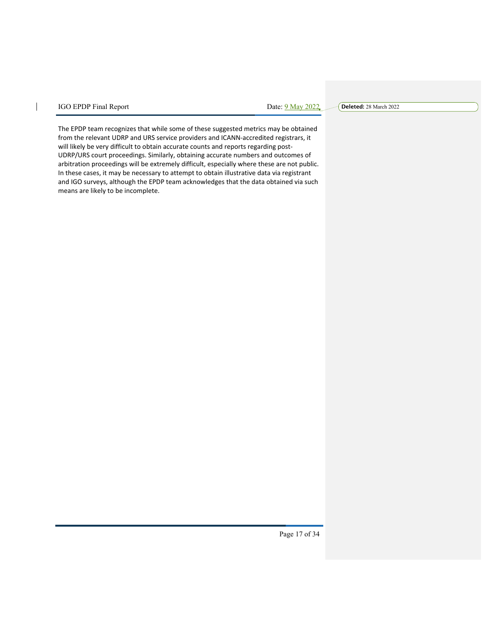$\overline{\phantom{a}}$ 

**Deleted:** 28 March 2022

The EPDP team recognizes that while some of these suggested metrics may be obtained from the relevant UDRP and URS service providers and ICANN-accredited registrars, it will likely be very difficult to obtain accurate counts and reports regarding post-UDRP/URS court proceedings. Similarly, obtaining accurate numbers and outcomes of arbitration proceedings will be extremely difficult, especially where these are not public. In these cases, it may be necessary to attempt to obtain illustrative data via registrant and IGO surveys, although the EPDP team acknowledges that the data obtained via such means are likely to be incomplete.

Page 17 of 34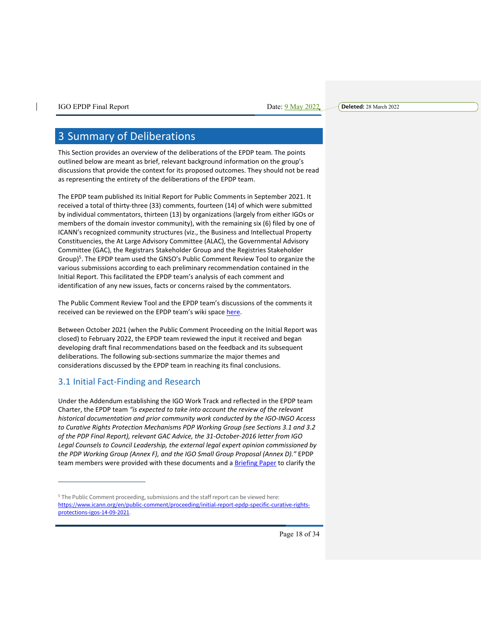# 3 Summary of Deliberations

This Section provides an overview of the deliberations of the EPDP team. The points outlined below are meant as brief, relevant background information on the group's discussions that provide the context for its proposed outcomes. They should not be read as representing the entirety of the deliberations of the EPDP team.

The EPDP team published its Initial Report for Public Comments in September 2021. It received a total of thirty-three (33) comments, fourteen (14) of which were submitted by individual commentators, thirteen (13) by organizations (largely from either IGOs or members of the domain investor community), with the remaining six (6) filed by one of ICANN's recognized community structures (viz., the Business and Intellectual Property Constituencies, the At Large Advisory Committee (ALAC), the Governmental Advisory Committee (GAC), the Registrars Stakeholder Group and the Registries Stakeholder Group)<sup>5</sup>. The EPDP team used the GNSO's Public Comment Review Tool to organize the various submissions according to each preliminary recommendation contained in the Initial Report. This facilitated the EPDP team's analysis of each comment and identification of any new issues, facts or concerns raised by the commentators.

The Public Comment Review Tool and the EPDP team's discussions of the comments it received can be reviewed on the EPDP team's wiki space here.

Between October 2021 (when the Public Comment Proceeding on the Initial Report was closed) to February 2022, the EPDP team reviewed the input it received and began developing draft final recommendations based on the feedback and its subsequent deliberations. The following sub-sections summarize the major themes and considerations discussed by the EPDP team in reaching its final conclusions.

# 3.1 Initial Fact-Finding and Research

Under the Addendum establishing the IGO Work Track and reflected in the EPDP team Charter, the EPDP team *"is expected to take into account the review of the relevant historical documentation and prior community work conducted by the IGO-INGO Access to Curative Rights Protection Mechanisms PDP Working Group (see Sections 3.1 and 3.2 of the PDP Final Report), relevant GAC Advice, the 31-October-2016 letter from IGO Legal Counsels to Council Leadership, the external legal expert opinion commissioned by the PDP Working Group (Annex F), and the IGO Small Group Proposal (Annex D)."* EPDP team members were provided with these documents and a Briefing Paper to clarify the

Page 18 of 34

<sup>&</sup>lt;sup>5</sup> The Public Comment proceeding, submissions and the staff report can be viewed here: https://www.icann.org/en/public-comment/proceeding/initial-report-epdp-specific-curative-rightsprotections-igos-14-09-2021.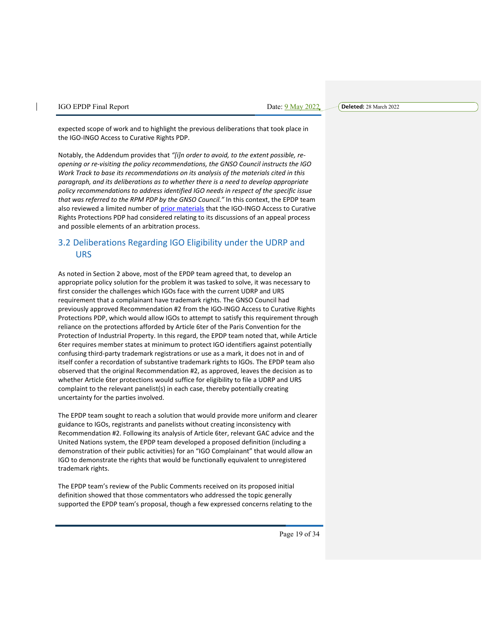| IGO EPDP Final Repor |  |
|----------------------|--|
|----------------------|--|

 $\text{Date: } 9 \text{ May } 2022$ 

**Deleted:** 28 March 2022

expected scope of work and to highlight the previous deliberations that took place in the IGO-INGO Access to Curative Rights PDP.

Notably, the Addendum provides that *"[i]n order to avoid, to the extent possible, reopening or re-visiting the policy recommendations, the GNSO Council instructs the IGO Work Track to base its recommendations on its analysis of the materials cited in this paragraph, and its deliberations as to whether there is a need to develop appropriate policy recommendations to address identified IGO needs in respect of the specific issue that was referred to the RPM PDP by the GNSO Council."* In this context, the EPDP team also reviewed a limited number of prior materials that the IGO-INGO Access to Curative Rights Protections PDP had considered relating to its discussions of an appeal process and possible elements of an arbitration process.

# 3.2 Deliberations Regarding IGO Eligibility under the UDRP and URS

As noted in Section 2 above, most of the EPDP team agreed that, to develop an appropriate policy solution for the problem it was tasked to solve, it was necessary to first consider the challenges which IGOs face with the current UDRP and URS requirement that a complainant have trademark rights. The GNSO Council had previously approved Recommendation #2 from the IGO-INGO Access to Curative Rights Protections PDP, which would allow IGOs to attempt to satisfy this requirement through reliance on the protections afforded by Article 6ter of the Paris Convention for the Protection of Industrial Property. In this regard, the EPDP team noted that, while Article 6ter requires member states at minimum to protect IGO identifiers against potentially confusing third-party trademark registrations or use as a mark, it does not in and of itself confer a recordation of substantive trademark rights to IGOs. The EPDP team also observed that the original Recommendation #2, as approved, leaves the decision as to whether Article 6ter protections would suffice for eligibility to file a UDRP and URS complaint to the relevant panelist(s) in each case, thereby potentially creating uncertainty for the parties involved.

The EPDP team sought to reach a solution that would provide more uniform and clearer guidance to IGOs, registrants and panelists without creating inconsistency with Recommendation #2. Following its analysis of Article 6ter, relevant GAC advice and the United Nations system, the EPDP team developed a proposed definition (including a demonstration of their public activities) for an "IGO Complainant" that would allow an IGO to demonstrate the rights that would be functionally equivalent to unregistered trademark rights.

The EPDP team's review of the Public Comments received on its proposed initial definition showed that those commentators who addressed the topic generally supported the EPDP team's proposal, though a few expressed concerns relating to the

Page 19 of 34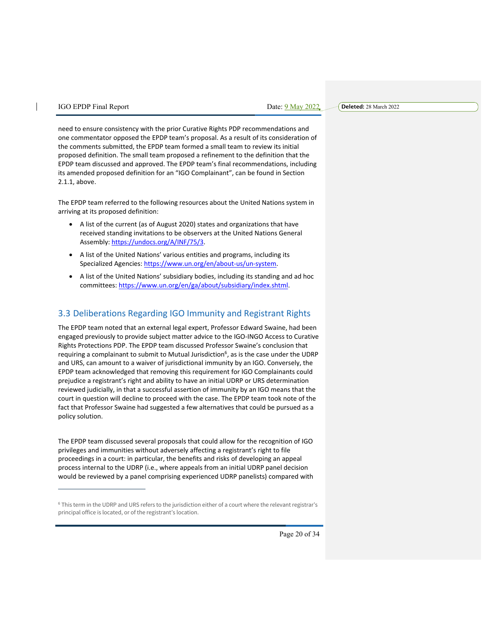**Deleted:** 28 March 2022

need to ensure consistency with the prior Curative Rights PDP recommendations and one commentator opposed the EPDP team's proposal. As a result of its consideration of the comments submitted, the EPDP team formed a small team to review its initial proposed definition. The small team proposed a refinement to the definition that the EPDP team discussed and approved. The EPDP team's final recommendations, including its amended proposed definition for an "IGO Complainant", can be found in Section 2.1.1, above.

The EPDP team referred to the following resources about the United Nations system in arriving at its proposed definition:

- A list of the current (as of August 2020) states and organizations that have received standing invitations to be observers at the United Nations General Assembly: https://undocs.org/A/INF/75/3.
- A list of the United Nations' various entities and programs, including its Specialized Agencies: https://www.un.org/en/about-us/un-system.
- A list of the United Nations' subsidiary bodies, including its standing and ad hoc committees: https://www.un.org/en/ga/about/subsidiary/index.shtml.

# 3.3 Deliberations Regarding IGO Immunity and Registrant Rights

The EPDP team noted that an external legal expert, Professor Edward Swaine, had been engaged previously to provide subject matter advice to the IGO-INGO Access to Curative Rights Protections PDP. The EPDP team discussed Professor Swaine's conclusion that requiring a complainant to submit to Mutual Jurisdiction<sup>6</sup>, as is the case under the UDRP and URS, can amount to a waiver of jurisdictional immunity by an IGO. Conversely, the EPDP team acknowledged that removing this requirement for IGO Complainants could prejudice a registrant's right and ability to have an initial UDRP or URS determination reviewed judicially, in that a successful assertion of immunity by an IGO means that the court in question will decline to proceed with the case. The EPDP team took note of the fact that Professor Swaine had suggested a few alternatives that could be pursued as a policy solution.

The EPDP team discussed several proposals that could allow for the recognition of IGO privileges and immunities without adversely affecting a registrant's right to file proceedings in a court: in particular, the benefits and risks of developing an appeal process internal to the UDRP (i.e., where appeals from an initial UDRP panel decision would be reviewed by a panel comprising experienced UDRP panelists) compared with

<sup>6</sup> This term in the UDRP and URS refers to the jurisdiction either of a court where the relevant registrar's principal office is located, or of the registrant's location.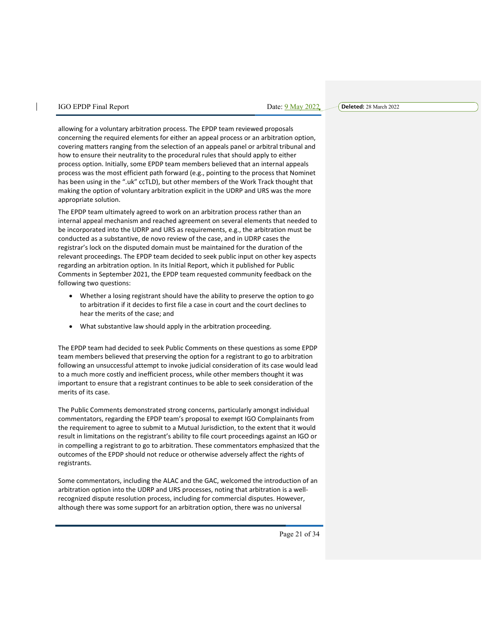**Deleted:** 28 March 2022

allowing for a voluntary arbitration process. The EPDP team reviewed proposals concerning the required elements for either an appeal process or an arbitration option, covering matters ranging from the selection of an appeals panel or arbitral tribunal and how to ensure their neutrality to the procedural rules that should apply to either process option. Initially, some EPDP team members believed that an internal appeals process was the most efficient path forward (e.g., pointing to the process that Nominet has been using in the ".uk" ccTLD), but other members of the Work Track thought that making the option of voluntary arbitration explicit in the UDRP and URS was the more appropriate solution.

The EPDP team ultimately agreed to work on an arbitration process rather than an internal appeal mechanism and reached agreement on several elements that needed to be incorporated into the UDRP and URS as requirements, e.g., the arbitration must be conducted as a substantive, de novo review of the case, and in UDRP cases the registrar's lock on the disputed domain must be maintained for the duration of the relevant proceedings. The EPDP team decided to seek public input on other key aspects regarding an arbitration option. In its Initial Report, which it published for Public Comments in September 2021, the EPDP team requested community feedback on the following two questions:

- Whether a losing registrant should have the ability to preserve the option to go to arbitration if it decides to first file a case in court and the court declines to hear the merits of the case; and
- What substantive law should apply in the arbitration proceeding.

The EPDP team had decided to seek Public Comments on these questions as some EPDP team members believed that preserving the option for a registrant to go to arbitration following an unsuccessful attempt to invoke judicial consideration of its case would lead to a much more costly and inefficient process, while other members thought it was important to ensure that a registrant continues to be able to seek consideration of the merits of its case.

The Public Comments demonstrated strong concerns, particularly amongst individual commentators, regarding the EPDP team's proposal to exempt IGO Complainants from the requirement to agree to submit to a Mutual Jurisdiction, to the extent that it would result in limitations on the registrant's ability to file court proceedings against an IGO or in compelling a registrant to go to arbitration. These commentators emphasized that the outcomes of the EPDP should not reduce or otherwise adversely affect the rights of registrants.

Some commentators, including the ALAC and the GAC, welcomed the introduction of an arbitration option into the UDRP and URS processes, noting that arbitration is a wellrecognized dispute resolution process, including for commercial disputes. However, although there was some support for an arbitration option, there was no universal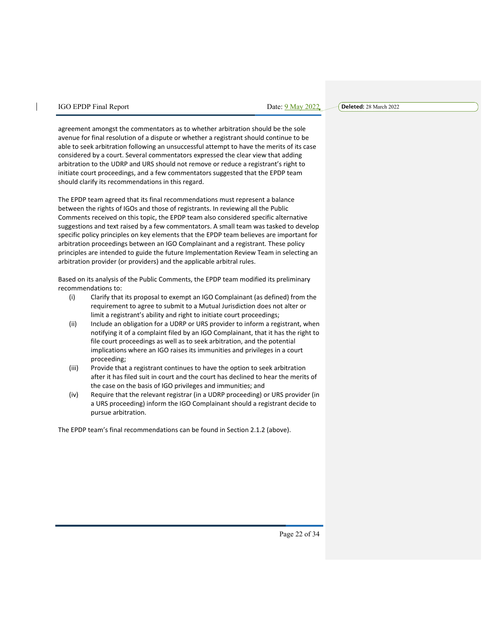**Deleted:** 28 March 2022

agreement amongst the commentators as to whether arbitration should be the sole avenue for final resolution of a dispute or whether a registrant should continue to be able to seek arbitration following an unsuccessful attempt to have the merits of its case considered by a court. Several commentators expressed the clear view that adding arbitration to the UDRP and URS should not remove or reduce a registrant's right to initiate court proceedings, and a few commentators suggested that the EPDP team should clarify its recommendations in this regard.

The EPDP team agreed that its final recommendations must represent a balance between the rights of IGOs and those of registrants. In reviewing all the Public Comments received on this topic, the EPDP team also considered specific alternative suggestions and text raised by a few commentators. A small team was tasked to develop specific policy principles on key elements that the EPDP team believes are important for arbitration proceedings between an IGO Complainant and a registrant. These policy principles are intended to guide the future Implementation Review Team in selecting an arbitration provider (or providers) and the applicable arbitral rules.

Based on its analysis of the Public Comments, the EPDP team modified its preliminary recommendations to:

- (i) Clarify that its proposal to exempt an IGO Complainant (as defined) from the requirement to agree to submit to a Mutual Jurisdiction does not alter or limit a registrant's ability and right to initiate court proceedings;
- (ii) Include an obligation for a UDRP or URS provider to inform a registrant, when notifying it of a complaint filed by an IGO Complainant, that it has the right to file court proceedings as well as to seek arbitration, and the potential implications where an IGO raises its immunities and privileges in a court proceeding;
- (iii) Provide that a registrant continues to have the option to seek arbitration after it has filed suit in court and the court has declined to hear the merits of the case on the basis of IGO privileges and immunities; and
- (iv) Require that the relevant registrar (in a UDRP proceeding) or URS provider (in a URS proceeding) inform the IGO Complainant should a registrant decide to pursue arbitration.

The EPDP team's final recommendations can be found in Section 2.1.2 (above).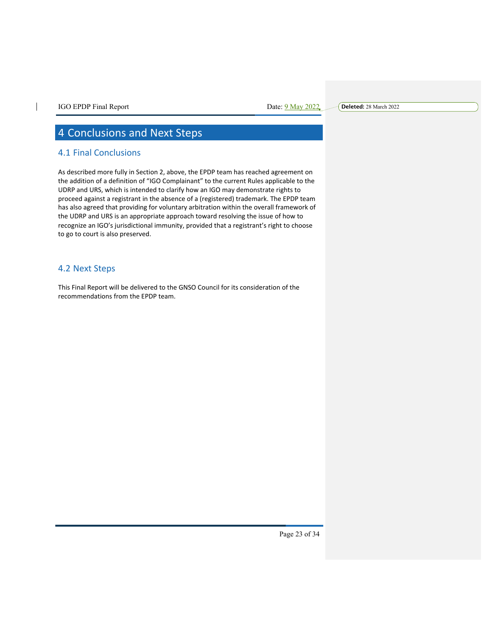$\mathsf{l}$ 

**Deleted:** 28 March 2022

# 4 Conclusions and Next Steps

# 4.1 Final Conclusions

As described more fully in Section 2, above, the EPDP team has reached agreement on the addition of a definition of "IGO Complainant" to the current Rules applicable to the UDRP and URS, which is intended to clarify how an IGO may demonstrate rights to proceed against a registrant in the absence of a (registered) trademark. The EPDP team has also agreed that providing for voluntary arbitration within the overall framework of the UDRP and URS is an appropriate approach toward resolving the issue of how to recognize an IGO's jurisdictional immunity, provided that a registrant's right to choose to go to court is also preserved.

## 4.2 Next Steps

This Final Report will be delivered to the GNSO Council for its consideration of the recommendations from the EPDP team.

Page 23 of 34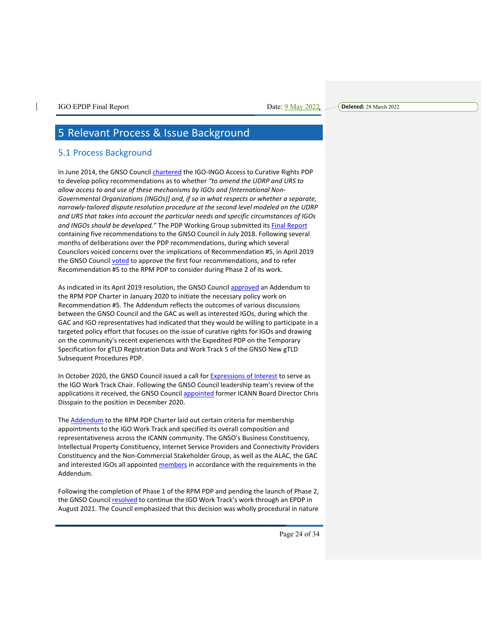# 5 Relevant Process & Issue Background

## 5.1 Process Background

In June 2014, the GNSO Council *chartered* the IGO-INGO Access to Curative Rights PDP to develop policy recommendations as to whether *"to amend the UDRP and URS to allow access to and use of these mechanisms by IGOs and [International Non-Governmental Organizations (INGOs)] and, if so in what respects or whether a separate, narrowly-tailored dispute resolution procedure at the second level modeled on the UDRP and URS that takes into account the particular needs and specific circumstances of IGOs*  and INGOs should be developed." The PDP Working Group submitted its **Final Report** containing five recommendations to the GNSO Council in July 2018. Following several months of deliberations over the PDP recommendations, during which several Councilors voiced concerns over the implications of Recommendation #5, in April 2019 the GNSO Council voted to approve the first four recommendations, and to refer Recommendation #5 to the RPM PDP to consider during Phase 2 of its work.

As indicated in its April 2019 resolution, the GNSO Council approved an Addendum to the RPM PDP Charter in January 2020 to initiate the necessary policy work on Recommendation #5. The Addendum reflects the outcomes of various discussions between the GNSO Council and the GAC as well as interested IGOs, during which the GAC and IGO representatives had indicated that they would be willing to participate in a targeted policy effort that focuses on the issue of curative rights for IGOs and drawing on the community's recent experiences with the Expedited PDP on the Temporary Specification for gTLD Registration Data and Work Track 5 of the GNSO New gTLD Subsequent Procedures PDP.

In October 2020, the GNSO Council issued a call for Expressions of Interest to serve as the IGO Work Track Chair. Following the GNSO Council leadership team's review of the applications it received, the GNSO Council appointed former ICANN Board Director Chris Disspain to the position in December 2020.

The **Addendum** to the RPM PDP Charter laid out certain criteria for membership appointments to the IGO Work Track and specified its overall composition and representativeness across the ICANN community. The GNSO's Business Constituency, Intellectual Property Constituency, Internet Service Providers and Connectivity Providers Constituency and the Non-Commercial Stakeholder Group, as well as the ALAC, the GAC and interested IGOs all appointed members in accordance with the requirements in the Addendum.

Following the completion of Phase 1 of the RPM PDP and pending the launch of Phase 2, the GNSO Council resolved to continue the IGO Work Track's work through an EPDP in August 2021. The Council emphasized that this decision was wholly procedural in nature

Page 24 of 34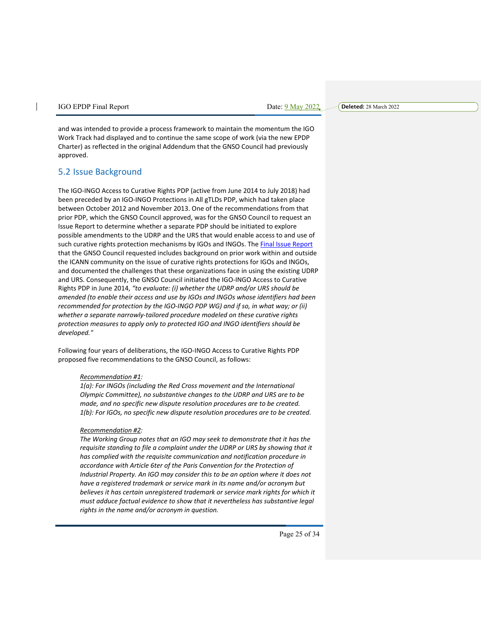**Deleted:** 28 March 2022

and was intended to provide a process framework to maintain the momentum the IGO Work Track had displayed and to continue the same scope of work (via the new EPDP Charter) as reflected in the original Addendum that the GNSO Council had previously approved.

# 5.2 Issue Background

The IGO-INGO Access to Curative Rights PDP (active from June 2014 to July 2018) had been preceded by an IGO-INGO Protections in All gTLDs PDP, which had taken place between October 2012 and November 2013. One of the recommendations from that prior PDP, which the GNSO Council approved, was for the GNSO Council to request an Issue Report to determine whether a separate PDP should be initiated to explore possible amendments to the UDRP and the URS that would enable access to and use of such curative rights protection mechanisms by IGOs and INGOs. The Final Issue Report that the GNSO Council requested includes background on prior work within and outside the ICANN community on the issue of curative rights protections for IGOs and INGOs, and documented the challenges that these organizations face in using the existing UDRP and URS. Consequently, the GNSO Council initiated the IGO-INGO Access to Curative Rights PDP in June 2014, *"to evaluate: (i) whether the UDRP and/or URS should be amended (to enable their access and use by IGOs and INGOs whose identifiers had been recommended for protection by the IGO-INGO PDP WG) and if so, in what way; or (ii) whether a separate narrowly-tailored procedure modeled on these curative rights protection measures to apply only to protected IGO and INGO identifiers should be developed."*

Following four years of deliberations, the IGO-INGO Access to Curative Rights PDP proposed five recommendations to the GNSO Council, as follows:

#### *Recommendation #1:*

*1(a): For INGOs (including the Red Cross movement and the International Olympic Committee), no substantive changes to the UDRP and URS are to be made, and no specific new dispute resolution procedures are to be created. 1(b): For IGOs, no specific new dispute resolution procedures are to be created.*

#### *Recommendation #2:*

*The Working Group notes that an IGO may seek to demonstrate that it has the requisite standing to file a complaint under the UDRP or URS by showing that it has complied with the requisite communication and notification procedure in accordance with Article 6ter of the Paris Convention for the Protection of Industrial Property. An IGO may consider this to be an option where it does not have a registered trademark or service mark in its name and/or acronym but believes it has certain unregistered trademark or service mark rights for which it must adduce factual evidence to show that it nevertheless has substantive legal rights in the name and/or acronym in question.* 

Page 25 of 34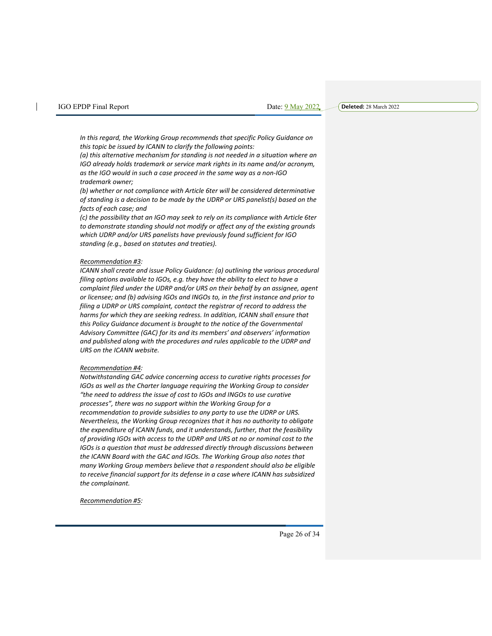*In this regard, the Working Group recommends that specific Policy Guidance on this topic be issued by ICANN to clarify the following points:* 

*(a) this alternative mechanism for standing is not needed in a situation where an IGO already holds trademark or service mark rights in its name and/or acronym, as the IGO would in such a case proceed in the same way as a non-IGO trademark owner;* 

*(b) whether or not compliance with Article 6ter will be considered determinative of standing is a decision to be made by the UDRP or URS panelist(s) based on the facts of each case; and* 

*(c) the possibility that an IGO may seek to rely on its compliance with Article 6ter to demonstrate standing should not modify or affect any of the existing grounds which UDRP and/or URS panelists have previously found sufficient for IGO standing (e.g., based on statutes and treaties).*

#### *Recommendation #3:*

*ICANN shall create and issue Policy Guidance: (a) outlining the various procedural filing options available to IGOs, e.g. they have the ability to elect to have a complaint filed under the UDRP and/or URS on their behalf by an assignee, agent or licensee; and (b) advising IGOs and INGOs to, in the first instance and prior to filing a UDRP or URS complaint, contact the registrar of record to address the harms for which they are seeking redress. In addition, ICANN shall ensure that this Policy Guidance document is brought to the notice of the Governmental Advisory Committee (GAC) for its and its members' and observers' information and published along with the procedures and rules applicable to the UDRP and URS on the ICANN website.*

#### *Recommendation #4:*

*Notwithstanding GAC advice concerning access to curative rights processes for IGOs as well as the Charter language requiring the Working Group to consider "the need to address the issue of cost to IGOs and INGOs to use curative processes", there was no support within the Working Group for a recommendation to provide subsidies to any party to use the UDRP or URS. Nevertheless, the Working Group recognizes that it has no authority to obligate the expenditure of ICANN funds, and it understands, further, that the feasibility of providing IGOs with access to the UDRP and URS at no or nominal cost to the IGOs is a question that must be addressed directly through discussions between the ICANN Board with the GAC and IGOs. The Working Group also notes that many Working Group members believe that a respondent should also be eligible to receive financial support for its defense in a case where ICANN has subsidized the complainant.*

*Recommendation #5:* 

Page 26 of 34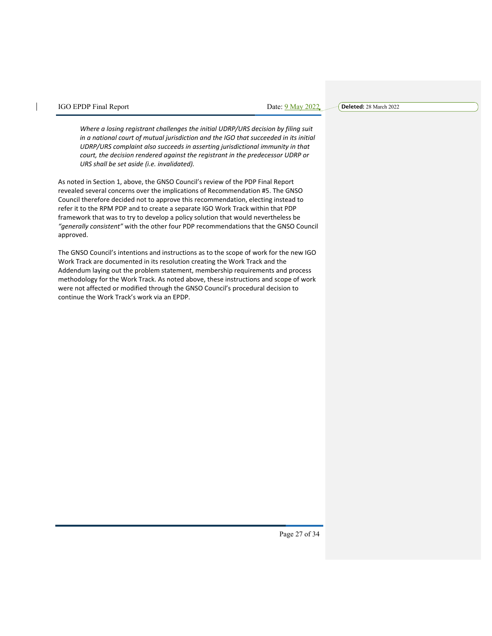**Deleted:** 28 March 2022

*Where a losing registrant challenges the initial UDRP/URS decision by filing suit in a national court of mutual jurisdiction and the IGO that succeeded in its initial UDRP/URS complaint also succeeds in asserting jurisdictional immunity in that court, the decision rendered against the registrant in the predecessor UDRP or URS shall be set aside (i.e. invalidated).*

As noted in Section 1, above, the GNSO Council's review of the PDP Final Report revealed several concerns over the implications of Recommendation #5. The GNSO Council therefore decided not to approve this recommendation, electing instead to refer it to the RPM PDP and to create a separate IGO Work Track within that PDP framework that was to try to develop a policy solution that would nevertheless be *"generally consistent"* with the other four PDP recommendations that the GNSO Council approved.

The GNSO Council's intentions and instructions as to the scope of work for the new IGO Work Track are documented in its resolution creating the Work Track and the Addendum laying out the problem statement, membership requirements and process methodology for the Work Track. As noted above, these instructions and scope of work were not affected or modified through the GNSO Council's procedural decision to continue the Work Track's work via an EPDP.

Page 27 of 34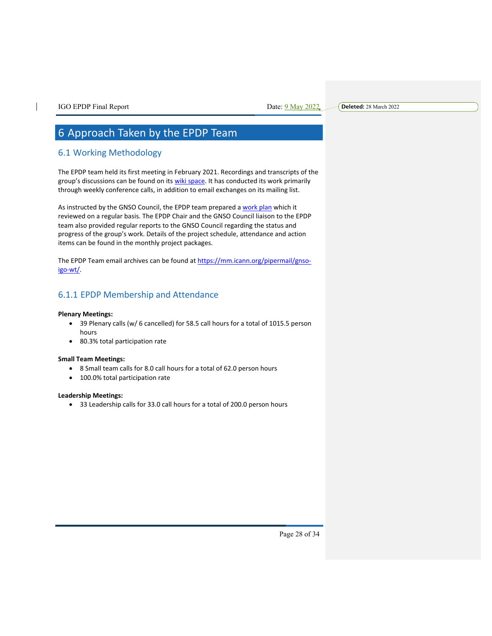# 6 Approach Taken by the EPDP Team

# 6.1 Working Methodology

The EPDP team held its first meeting in February 2021. Recordings and transcripts of the group's discussions can be found on its wiki space. It has conducted its work primarily through weekly conference calls, in addition to email exchanges on its mailing list.

As instructed by the GNSO Council, the EPDP team prepared a work plan which it reviewed on a regular basis. The EPDP Chair and the GNSO Council liaison to the EPDP team also provided regular reports to the GNSO Council regarding the status and progress of the group's work. Details of the project schedule, attendance and action items can be found in the monthly project packages.

The EPDP Team email archives can be found at https://mm.icann.org/pipermail/gnsoigo-wt/.

# 6.1.1 EPDP Membership and Attendance

#### **Plenary Meetings:**

- 39 Plenary calls (w/ 6 cancelled) for 58.5 call hours for a total of 1015.5 person hours
- 80.3% total participation rate

#### **Small Team Meetings:**

- 8 Small team calls for 8.0 call hours for a total of 62.0 person hours
- 100.0% total participation rate

#### **Leadership Meetings:**

• 33 Leadership calls for 33.0 call hours for a total of 200.0 person hours

Page 28 of 34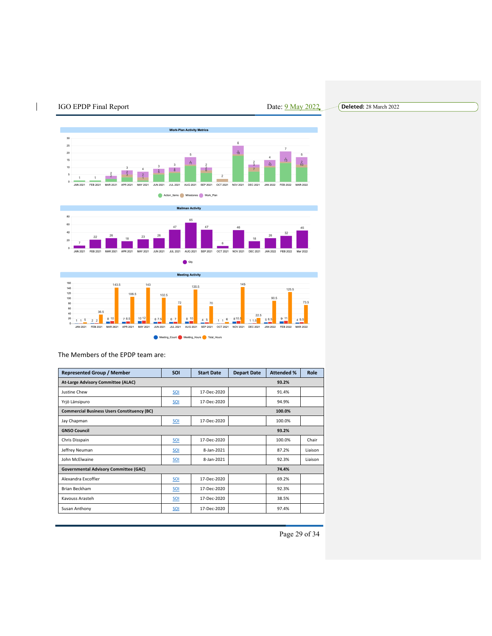





| <b>Represented Group / Member</b>                            | <b>SOI</b> | <b>Start Date</b> | <b>Depart Date</b> | <b>Attended %</b> | Role    |
|--------------------------------------------------------------|------------|-------------------|--------------------|-------------------|---------|
| <b>At-Large Advisory Committee (ALAC)</b>                    |            |                   |                    | 93.2%             |         |
| Justine Chew                                                 | SOI        | 17-Dec-2020       |                    | 91.4%             |         |
| Yrjö Länsipuro                                               | SOI        | 17-Dec-2020       |                    | 94.9%             |         |
| <b>Commercial Business Users Constituency (BC)</b><br>100.0% |            |                   |                    |                   |         |
| Jay Chapman                                                  | SOI        | 17-Dec-2020       |                    | 100.0%            |         |
| <b>GNSO Council</b><br>93.2%                                 |            |                   |                    |                   |         |
| Chris Disspain                                               | SOI        | 17-Dec-2020       |                    | 100.0%            | Chair   |
| Jeffrey Neuman                                               | SOI        | 8-Jan-2021        |                    | 87.2%             | Liaison |
| John McElwaine                                               | SOI        | 8-Jan-2021        |                    | 92.3%             | Liaison |
| <b>Governmental Advisory Committee (GAC)</b><br>74.4%        |            |                   |                    |                   |         |
| Alexandra Excoffier                                          | SOI        | 17-Dec-2020       |                    | 69.2%             |         |
| Brian Beckham                                                | SOI        | 17-Dec-2020       |                    | 92.3%             |         |
| Kavouss Arasteh                                              | SOI        | 17-Dec-2020       |                    | 38.5%             |         |
| Susan Anthony                                                | SOI        | 17-Dec-2020       |                    | 97.4%             |         |

The Members of the EPDP team are:

Page 29 of 34

## **Deleted:** 28 March 2022

 $\overline{1}$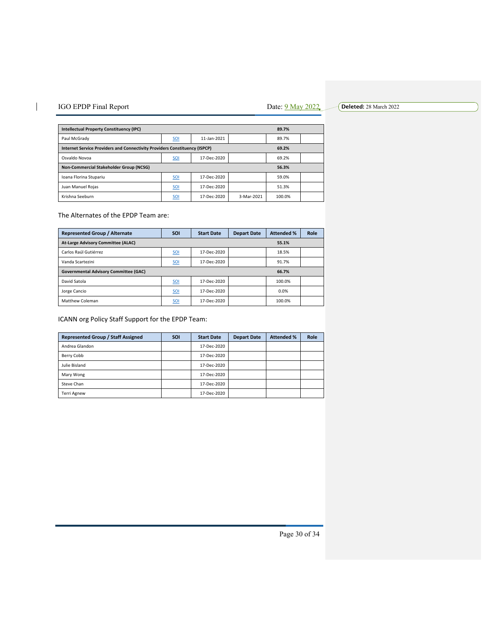#### $\overline{\phantom{a}}$ IGO EPDP Final Report Date: 9 May 2022

**Deleted:** 28 March 2022

| <b>Intellectual Property Constituency (IPC)</b>                                     |            |             | 89.7%      |        |  |
|-------------------------------------------------------------------------------------|------------|-------------|------------|--------|--|
| Paul McGrady                                                                        | SOI        | 11-Jan-2021 |            | 89.7%  |  |
| Internet Service Providers and Connectivity Providers Constituency (ISPCP)<br>69.2% |            |             |            |        |  |
| Osvaldo Novoa                                                                       | <b>SOI</b> | 17-Dec-2020 |            | 69.2%  |  |
| Non-Commercial Stakeholder Group (NCSG)<br>56.3%                                    |            |             |            |        |  |
| Ioana Florina Stupariu                                                              | SOI        | 17-Dec-2020 |            | 59.0%  |  |
| Juan Manuel Roias                                                                   | <b>SOI</b> | 17-Dec-2020 |            | 51.3%  |  |
| Krishna Seeburn                                                                     | <b>SOI</b> | 17-Dec-2020 | 3-Mar-2021 | 100.0% |  |

The Alternates of the EPDP Team are:

| <b>Represented Group / Alternate</b>                  | <b>SOI</b>      | <b>Start Date</b> | <b>Depart Date</b> | <b>Attended %</b> | Role |
|-------------------------------------------------------|-----------------|-------------------|--------------------|-------------------|------|
| <b>At-Large Advisory Committee (ALAC)</b><br>55.1%    |                 |                   |                    |                   |      |
| Carlos Raúl Gutiérrez                                 | SO <sub>1</sub> | 17-Dec-2020       |                    | 18.5%             |      |
| Vanda Scartezini                                      | SOI             | 17-Dec-2020       |                    | 91.7%             |      |
| <b>Governmental Advisory Committee (GAC)</b><br>66.7% |                 |                   |                    |                   |      |
| David Satola                                          | <b>SOI</b>      | 17-Dec-2020       |                    | 100.0%            |      |
| Jorge Cancio                                          | SOI             | 17-Dec-2020       |                    | 0.0%              |      |
| Matthew Coleman                                       | <b>SOI</b>      | 17-Dec-2020       |                    | 100.0%            |      |

ICANN org Policy Staff Support for the EPDP Team:

| <b>Represented Group / Staff Assigned</b> | <b>SOI</b> | <b>Start Date</b> | <b>Depart Date</b> | <b>Attended %</b> | Role |
|-------------------------------------------|------------|-------------------|--------------------|-------------------|------|
| Andrea Glandon                            |            | 17-Dec-2020       |                    |                   |      |
| Berry Cobb                                |            | 17-Dec-2020       |                    |                   |      |
| Julie Bisland                             |            | 17-Dec-2020       |                    |                   |      |
| Mary Wong                                 |            | 17-Dec-2020       |                    |                   |      |
| Steve Chan                                |            | 17-Dec-2020       |                    |                   |      |
| Terri Agnew                               |            | 17-Dec-2020       |                    |                   |      |

Page 30 of 34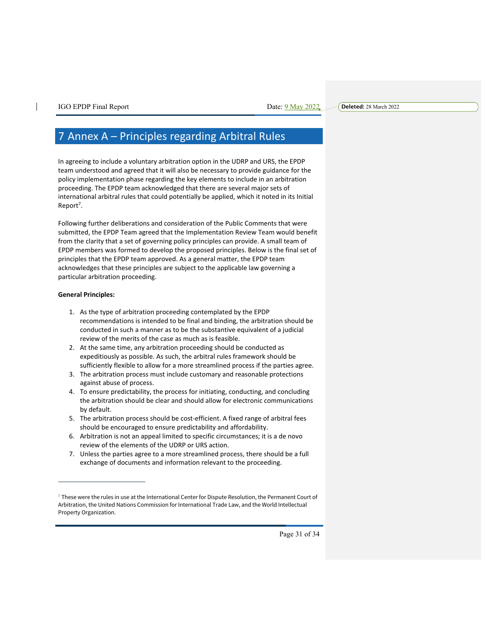# 7 Annex A – Principles regarding Arbitral Rules

In agreeing to include a voluntary arbitration option in the UDRP and URS, the EPDP team understood and agreed that it will also be necessary to provide guidance for the policy implementation phase regarding the key elements to include in an arbitration proceeding. The EPDP team acknowledged that there are several major sets of international arbitral rules that could potentially be applied, which it noted in its Initial Report<sup>7</sup>.

Following further deliberations and consideration of the Public Comments that were submitted, the EPDP Team agreed that the Implementation Review Team would benefit from the clarity that a set of governing policy principles can provide. A small team of EPDP members was formed to develop the proposed principles. Below is the final set of principles that the EPDP team approved. As a general matter, the EPDP team acknowledges that these principles are subject to the applicable law governing a particular arbitration proceeding.

#### **General Principles:**

- 1. As the type of arbitration proceeding contemplated by the EPDP recommendations is intended to be final and binding, the arbitration should be conducted in such a manner as to be the substantive equivalent of a judicial review of the merits of the case as much as is feasible.
- 2. At the same time, any arbitration proceeding should be conducted as expeditiously as possible. As such, the arbitral rules framework should be sufficiently flexible to allow for a more streamlined process if the parties agree.
- 3. The arbitration process must include customary and reasonable protections against abuse of process.
- 4. To ensure predictability, the process for initiating, conducting, and concluding the arbitration should be clear and should allow for electronic communications by default.
- 5. The arbitration process should be cost-efficient. A fixed range of arbitral fees should be encouraged to ensure predictability and affordability.
- 6. Arbitration is not an appeal limited to specific circumstances; it is a de novo review of the elements of the UDRP or URS action.
- 7. Unless the parties agree to a more streamlined process, there should be a full exchange of documents and information relevant to the proceeding.

<sup>7</sup> These were the rules in use at the International Center for Dispute Resolution, the Permanent Court of Arbitration, the United Nations Commission for International Trade Law, and the World Intellectual Property Organization.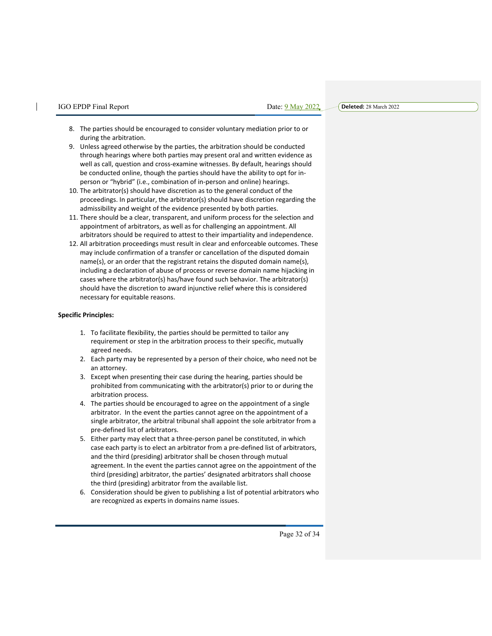**Deleted:** 28 March 2022

- 8. The parties should be encouraged to consider voluntary mediation prior to or during the arbitration.
- 9. Unless agreed otherwise by the parties, the arbitration should be conducted through hearings where both parties may present oral and written evidence as well as call, question and cross-examine witnesses. By default, hearings should be conducted online, though the parties should have the ability to opt for inperson or "hybrid" (i.e., combination of in-person and online) hearings.
- 10. The arbitrator(s) should have discretion as to the general conduct of the proceedings. In particular, the arbitrator(s) should have discretion regarding the admissibility and weight of the evidence presented by both parties.
- 11. There should be a clear, transparent, and uniform process for the selection and appointment of arbitrators, as well as for challenging an appointment. All arbitrators should be required to attest to their impartiality and independence.
- 12. All arbitration proceedings must result in clear and enforceable outcomes. These may include confirmation of a transfer or cancellation of the disputed domain name(s), or an order that the registrant retains the disputed domain name(s), including a declaration of abuse of process or reverse domain name hijacking in cases where the arbitrator(s) has/have found such behavior. The arbitrator(s) should have the discretion to award injunctive relief where this is considered necessary for equitable reasons.

#### **Specific Principles:**

- 1. To facilitate flexibility, the parties should be permitted to tailor any requirement or step in the arbitration process to their specific, mutually agreed needs.
- 2. Each party may be represented by a person of their choice, who need not be an attorney.
- 3. Except when presenting their case during the hearing, parties should be prohibited from communicating with the arbitrator(s) prior to or during the arbitration process.
- 4. The parties should be encouraged to agree on the appointment of a single arbitrator. In the event the parties cannot agree on the appointment of a single arbitrator, the arbitral tribunal shall appoint the sole arbitrator from a pre-defined list of arbitrators.
- 5. Either party may elect that a three-person panel be constituted, in which case each party is to elect an arbitrator from a pre-defined list of arbitrators, and the third (presiding) arbitrator shall be chosen through mutual agreement. In the event the parties cannot agree on the appointment of the third (presiding) arbitrator, the parties' designated arbitrators shall choose the third (presiding) arbitrator from the available list.
- 6. Consideration should be given to publishing a list of potential arbitrators who are recognized as experts in domains name issues.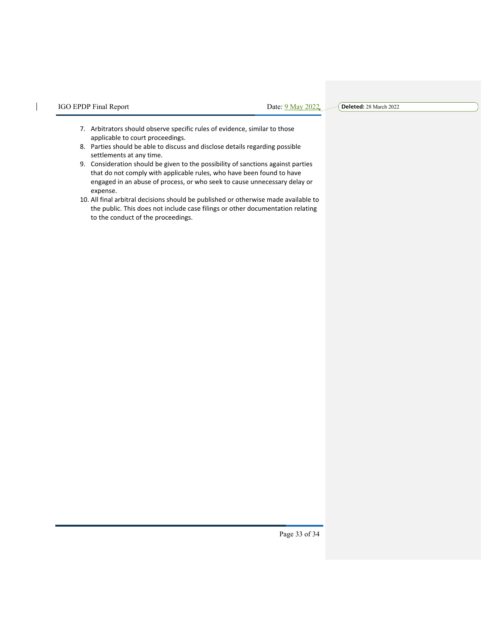$\overline{\phantom{a}}$ 

**Deleted:** 28 March 2022

- 7. Arbitrators should observe specific rules of evidence, similar to those applicable to court proceedings.
- 8. Parties should be able to discuss and disclose details regarding possible settlements at any time.
- 9. Consideration should be given to the possibility of sanctions against parties that do not comply with applicable rules, who have been found to have engaged in an abuse of process, or who seek to cause unnecessary delay or expense.
- 10. All final arbitral decisions should be published or otherwise made available to the public. This does not include case filings or other documentation relating to the conduct of the proceedings.

Page 33 of 34